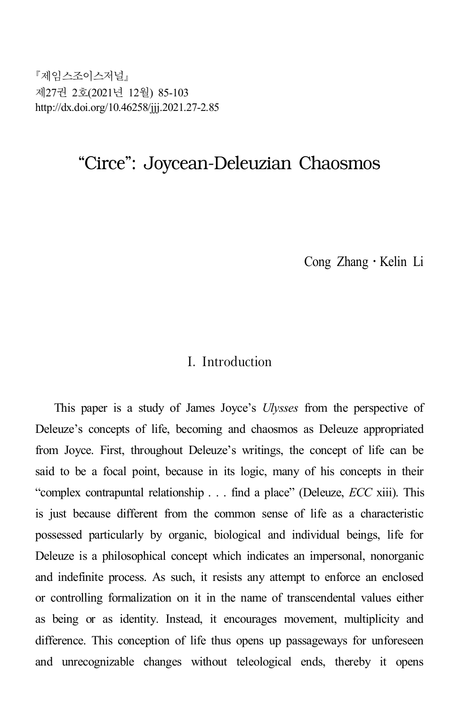제임스조이스저널 제27권 2호(2021년 12월) 85-103 http://dx.doi.org/10.46258/jjj.2021.27-2.85

# "Circe": Joycean-Deleuzian Chaosmos

Cong Zhang․Kelin Li

### I. Introduction

This paper is a study of James Joyce's *Ulysses* from the perspective of Deleuze's concepts of life, becoming and chaosmos as Deleuze appropriated from Joyce. First, throughout Deleuze's writings, the concept of life can be said to be a focal point, because in its logic, many of his concepts in their "complex contrapuntal relationship . . . find a place" (Deleuze, *ECC* xiii). This is just because different from the common sense of life as a characteristic possessed particularly by organic, biological and individual beings, life for Deleuze is a philosophical concept which indicates an impersonal, nonorganic and indefinite process. As such, it resists any attempt to enforce an enclosed or controlling formalization on it in the name of transcendental values either as being or as identity. Instead, it encourages movement, multiplicity and difference. This conception of life thus opens up passageways for unforeseen and unrecognizable changes without teleological ends, thereby it opens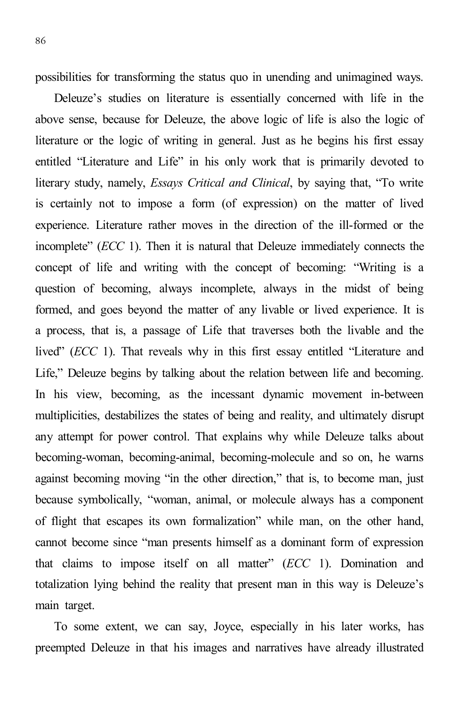possibilities for transforming the status quo in unending and unimagined ways.

Deleuze's studies on literature is essentially concerned with life in the above sense, because for Deleuze, the above logic of life is also the logic of literature or the logic of writing in general. Just as he begins his first essay entitled "Literature and Life" in his only work that is primarily devoted to literary study, namely, *Essays Critical and Clinical*, by saying that, "To write is certainly not to impose a form (of expression) on the matter of lived experience. Literature rather moves in the direction of the ill-formed or the incomplete" (*ECC* 1). Then it is natural that Deleuze immediately connects the concept of life and writing with the concept of becoming: "Writing is a question of becoming, always incomplete, always in the midst of being formed, and goes beyond the matter of any livable or lived experience. It is a process, that is, a passage of Life that traverses both the livable and the lived" (*ECC* 1). That reveals why in this first essay entitled "Literature and Life," Deleuze begins by talking about the relation between life and becoming. In his view, becoming, as the incessant dynamic movement in-between multiplicities, destabilizes the states of being and reality, and ultimately disrupt any attempt for power control. That explains why while Deleuze talks about becoming-woman, becoming-animal, becoming-molecule and so on, he warns against becoming moving "in the other direction," that is, to become man, just because symbolically, "woman, animal, or molecule always has a component of flight that escapes its own formalization" while man, on the other hand, cannot become since "man presents himself as a dominant form of expression that claims to impose itself on all matter" (*ECC* 1). Domination and totalization lying behind the reality that present man in this way is Deleuze's main target.

To some extent, we can say, Joyce, especially in his later works, has preempted Deleuze in that his images and narratives have already illustrated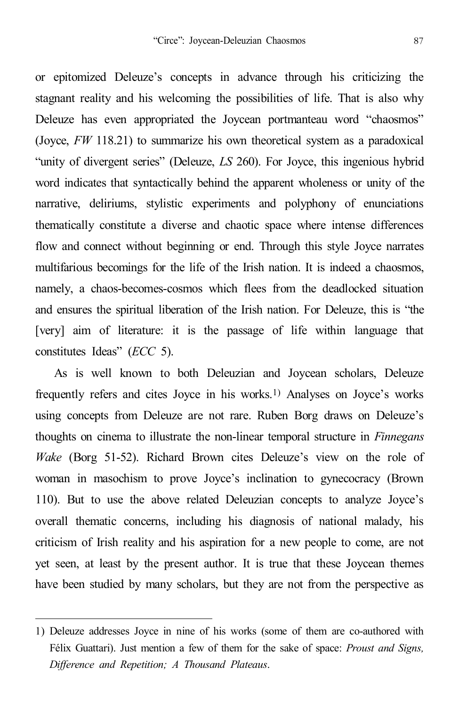or epitomized Deleuze's concepts in advance through his criticizing the stagnant reality and his welcoming the possibilities of life. That is also why Deleuze has even appropriated the Joycean portmanteau word "chaosmos" (Joyce, *FW* 118.21) to summarize his own theoretical system as a paradoxical "unity of divergent series" (Deleuze, *LS* 260). For Joyce, this ingenious hybrid word indicates that syntactically behind the apparent wholeness or unity of the narrative, deliriums, stylistic experiments and polyphony of enunciations thematically constitute a diverse and chaotic space where intense differences flow and connect without beginning or end. Through this style Joyce narrates multifarious becomings for the life of the Irish nation. It is indeed a chaosmos, namely, a chaos-becomes-cosmos which flees from the deadlocked situation and ensures the spiritual liberation of the Irish nation. For Deleuze, this is "the [very] aim of literature: it is the passage of life within language that constitutes Ideas" (*ECC* 5).

As is well known to both Deleuzian and Joycean scholars, Deleuze frequently refers and cites Joyce in his works. 1) Analyses on Joyce's works using concepts from Deleuze are not rare. Ruben Borg draws on Deleuze's thoughts on cinema to illustrate the non-linear temporal structure in *Finnegans Wake* (Borg 51-52). Richard Brown cites Deleuze's view on the role of woman in masochism to prove Joyce's inclination to gynecocracy (Brown 110). But to use the above related Deleuzian concepts to analyze Joyce's overall thematic concerns, including his diagnosis of national malady, his criticism of Irish reality and his aspiration for a new people to come, are not yet seen, at least by the present author. It is true that these Joycean themes have been studied by many scholars, but they are not from the perspective as

<sup>1)</sup> Deleuze addresses Joyce in nine of his works (some of them are co-authored with Félix Guattari). Just mention a few of them for the sake of space: *Proust and Signs, Difference and Repetition; A Thousand Plateaus*.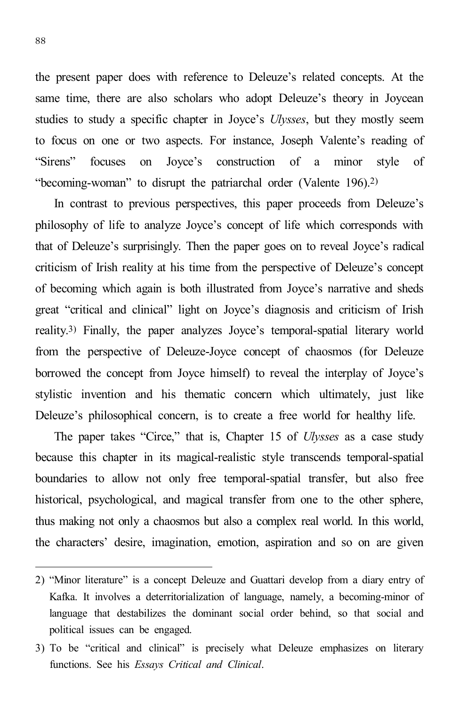the present paper does with reference to Deleuze's related concepts. At the same time, there are also scholars who adopt Deleuze's theory in Joycean studies to study a specific chapter in Joyce's *Ulysses*, but they mostly seem to focus on one or two aspects. For instance, Joseph Valente's reading of "Sirens" focuses on Joyce's construction of a minor style of "becoming-woman" to disrupt the patriarchal order (Valente 196). 2)

In contrast to previous perspectives, this paper proceeds from Deleuze's philosophy of life to analyze Joyce's concept of life which corresponds with that of Deleuze's surprisingly. Then the paper goes on to reveal Joyce's radical criticism of Irish reality at his time from the perspective of Deleuze's concept of becoming which again is both illustrated from Joyce's narrative and sheds great "critical and clinical" light on Joyce's diagnosis and criticism of Irish reality. 3) Finally, the paper analyzes Joyce's temporal-spatial literary world from the perspective of Deleuze-Joyce concept of chaosmos (for Deleuze borrowed the concept from Joyce himself) to reveal the interplay of Joyce's stylistic invention and his thematic concern which ultimately, just like Deleuze's philosophical concern, is to create a free world for healthy life.

The paper takes "Circe," that is, Chapter 15 of *Ulysses* as a case study because this chapter in its magical-realistic style transcends temporal-spatial boundaries to allow not only free temporal-spatial transfer, but also free historical, psychological, and magical transfer from one to the other sphere, thus making not only a chaosmos but also a complex real world. In this world, the characters' desire, imagination, emotion, aspiration and so on are given

<sup>2)</sup> "Minor literature" is a concept Deleuze and Guattari develop from a diary entry of Kafka. It involves a deterritorialization of language, namely, a becoming-minor of language that destabilizes the dominant social order behind, so that social and political issues can be engaged.

<sup>3)</sup> To be "critical and clinical" is precisely what Deleuze emphasizes on literary functions. See his *Essays Critical and Clinical*.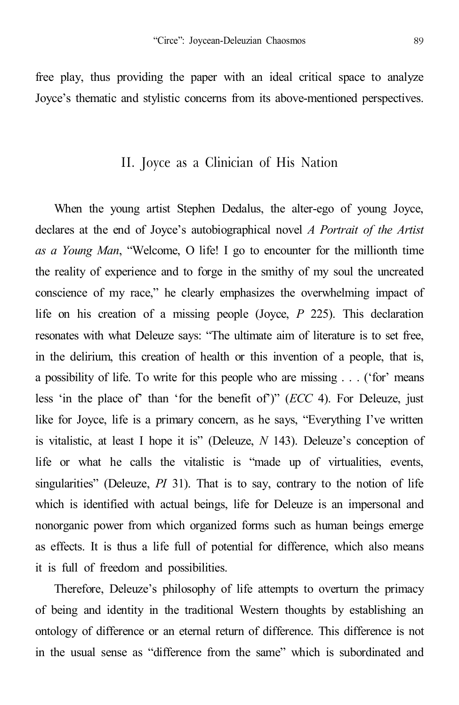free play, thus providing the paper with an ideal critical space to analyze Joyce's thematic and stylistic concerns from its above-mentioned perspectives.

#### II. Joyce as a Clinician of His Nation

When the young artist Stephen Dedalus, the alter-ego of young Joyce, declares at the end of Joyce's autobiographical novel *A Portrait of the Artist as a Young Man*, "Welcome, O life! I go to encounter for the millionth time the reality of experience and to forge in the smithy of my soul the uncreated conscience of my race," he clearly emphasizes the overwhelming impact of life on his creation of a missing people (Joyce, *P* 225). This declaration resonates with what Deleuze says: "The ultimate aim of literature is to set free, in the delirium, this creation of health or this invention of a people, that is, a possibility of life. To write for this people who are missing . . . ('for' means less 'in the place of' than 'for the benefit of')" (*ECC* 4). For Deleuze, just like for Joyce, life is a primary concern, as he says, "Everything I've written is vitalistic, at least I hope it is" (Deleuze, *N* 143). Deleuze's conception of life or what he calls the vitalistic is "made up of virtualities, events, singularities" (Deleuze, *PI* 31). That is to say, contrary to the notion of life which is identified with actual beings, life for Deleuze is an impersonal and nonorganic power from which organized forms such as human beings emerge as effects. It is thus a life full of potential for difference, which also means it is full of freedom and possibilities.

Therefore, Deleuze's philosophy of life attempts to overturn the primacy of being and identity in the traditional Western thoughts by establishing an ontology of difference or an eternal return of difference. This difference is not in the usual sense as "difference from the same" which is subordinated and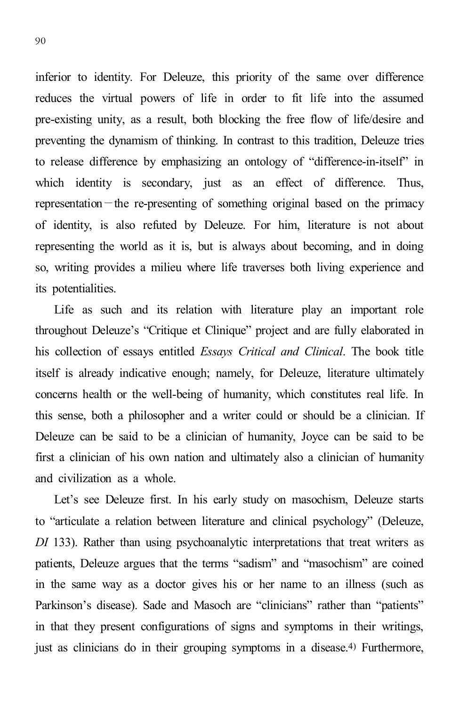inferior to identity. For Deleuze, this priority of the same over difference reduces the virtual powers of life in order to fit life into the assumed pre-existing unity, as a result, both blocking the free flow of life/desire and preventing the dynamism of thinking. In contrast to this tradition, Deleuze tries to release difference by emphasizing an ontology of "difference-in-itself" in which identity is secondary, just as an effect of difference. Thus, representation—the re-presenting of something original based on the primacy of identity, is also refuted by Deleuze. For him, literature is not about representing the world as it is, but is always about becoming, and in doing so, writing provides a milieu where life traverses both living experience and its potentialities.

Life as such and its relation with literature play an important role throughout Deleuze's "Critique et Clinique" project and are fully elaborated in his collection of essays entitled *Essays Critical and Clinical*. The book title itself is already indicative enough; namely, for Deleuze, literature ultimately concerns health or the well-being of humanity, which constitutes real life. In this sense, both a philosopher and a writer could or should be a clinician. If Deleuze can be said to be a clinician of humanity, Joyce can be said to be first a clinician of his own nation and ultimately also a clinician of humanity and civilization as a whole.

Let's see Deleuze first. In his early study on masochism, Deleuze starts to "articulate a relation between literature and clinical psychology" (Deleuze, *DI* 133). Rather than using psychoanalytic interpretations that treat writers as patients, Deleuze argues that the terms "sadism" and "masochism" are coined in the same way as a doctor gives his or her name to an illness (such as Parkinson's disease). Sade and Masoch are "clinicians" rather than "patients" in that they present configurations of signs and symptoms in their writings, just as clinicians do in their grouping symptoms in a disease. 4) Furthermore,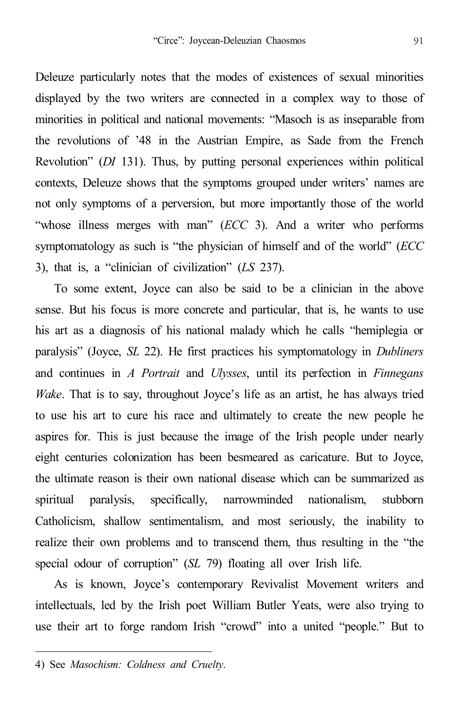Deleuze particularly notes that the modes of existences of sexual minorities displayed by the two writers are connected in a complex way to those of minorities in political and national movements: "Masoch is as inseparable from the revolutions of '48 in the Austrian Empire, as Sade from the French Revolution" (*DI* 131). Thus, by putting personal experiences within political contexts, Deleuze shows that the symptoms grouped under writers' names are not only symptoms of a perversion, but more importantly those of the world "whose illness merges with man" (*ECC* 3). And a writer who performs symptomatology as such is "the physician of himself and of the world" (*ECC* 3), that is, a "clinician of civilization" (*LS* 237).

To some extent, Joyce can also be said to be a clinician in the above sense. But his focus is more concrete and particular, that is, he wants to use his art as a diagnosis of his national malady which he calls "hemiplegia or paralysis" (Joyce, *SL* 22). He first practices his symptomatology in *Dubliners* and continues in *A Portrait* and *Ulysses*, until its perfection in *Finnegans Wake*. That is to say, throughout Joyce's life as an artist, he has always tried to use his art to cure his race and ultimately to create the new people he aspires for. This is just because the image of the Irish people under nearly eight centuries colonization has been besmeared as caricature. But to Joyce, the ultimate reason is their own national disease which can be summarized as spiritual paralysis, specifically, narrowminded nationalism, stubborn Catholicism, shallow sentimentalism, and most seriously, the inability to realize their own problems and to transcend them, thus resulting in the "the special odour of corruption" (*SL* 79) floating all over Irish life.

As is known, Joyce's contemporary Revivalist Movement writers and intellectuals, led by the Irish poet William Butler Yeats, were also trying to use their art to forge random Irish "crowd" into a united "people." But to

<sup>4)</sup> See *Masochism: Coldness and Cruelty*.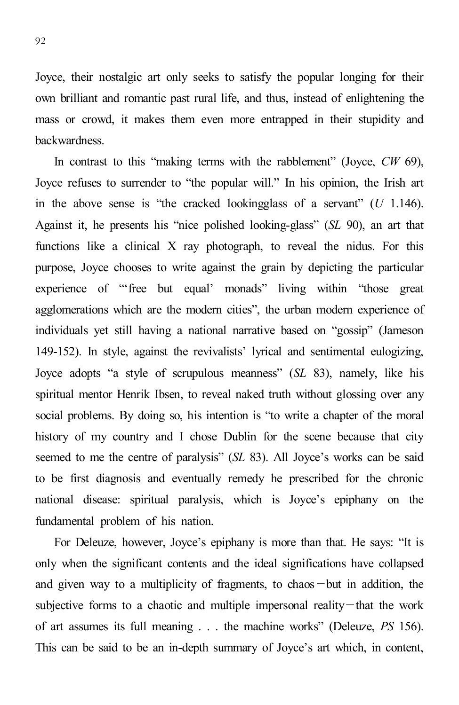Joyce, their nostalgic art only seeks to satisfy the popular longing for their own brilliant and romantic past rural life, and thus, instead of enlightening the mass or crowd, it makes them even more entrapped in their stupidity and backwardness.

In contrast to this "making terms with the rabblement" (Joyce, *CW* 69), Joyce refuses to surrender to "the popular will." In his opinion, the Irish art in the above sense is "the cracked lookingglass of a servant" (*U* 1.146). Against it, he presents his "nice polished looking-glass" (*SL* 90), an art that functions like a clinical X ray photograph, to reveal the nidus. For this purpose, Joyce chooses to write against the grain by depicting the particular experience of "'free but equal' monads" living within "those great agglomerations which are the modern cities", the urban modern experience of individuals yet still having a national narrative based on "gossip" (Jameson 149-152). In style, against the revivalists' lyrical and sentimental eulogizing, Joyce adopts "a style of scrupulous meanness" (*SL* 83), namely, like his spiritual mentor Henrik Ibsen, to reveal naked truth without glossing over any social problems. By doing so, his intention is "to write a chapter of the moral history of my country and I chose Dublin for the scene because that city seemed to me the centre of paralysis" (*SL* 83). All Joyce's works can be said to be first diagnosis and eventually remedy he prescribed for the chronic national disease: spiritual paralysis, which is Joyce's epiphany on the fundamental problem of his nation.

For Deleuze, however, Joyce's epiphany is more than that. He says: "It is only when the significant contents and the ideal significations have collapsed and given way to a multiplicity of fragments, to chaos—but in addition, the subjective forms to a chaotic and multiple impersonal reality—that the work of art assumes its full meaning . . . the machine works" (Deleuze, *PS* 156). This can be said to be an in-depth summary of Joyce's art which, in content,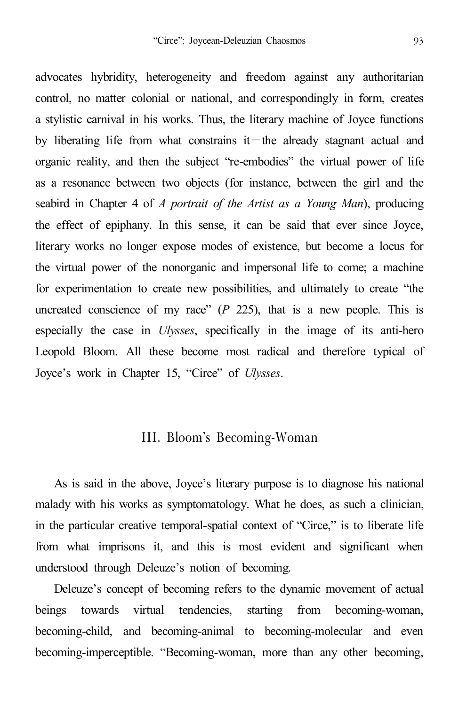advocates hybridity, heterogeneity and freedom against any authoritarian control, no matter colonial or national, and correspondingly in form, creates a stylistic carnival in his works. Thus, the literary machine of Joyce functions by liberating life from what constrains it—the already stagnant actual and organic reality, and then the subject "re-embodies" the virtual power of life as a resonance between two objects (for instance, between the girl and the seabird in Chapter 4 of *A portrait of the Artist as a Young Man*), producing the effect of epiphany. In this sense, it can be said that ever since Joyce, literary works no longer expose modes of existence, but become a locus for the virtual power of the nonorganic and impersonal life to come; a machine for experimentation to create new possibilities, and ultimately to create "the uncreated conscience of my race"  $(P \t225)$ , that is a new people. This is especially the case in *Ulysses*, specifically in the image of its anti-hero Leopold Bloom. All these become most radical and therefore typical of Joyce's work in Chapter 15, "Circe" of *Ulysses*.

#### III. Bloom's Becoming-Woman

As is said in the above, Joyce's literary purpose is to diagnose his national malady with his works as symptomatology. What he does, as such a clinician, in the particular creative temporal-spatial context of "Circe," is to liberate life from what imprisons it, and this is most evident and significant when understood through Deleuze's notion of becoming.

Deleuze's concept of becoming refers to the dynamic movement of actual beings towards virtual tendencies, starting from becoming-woman, becoming-child, and becoming-animal to becoming-molecular and even becoming-imperceptible. "Becoming-woman, more than any other becoming,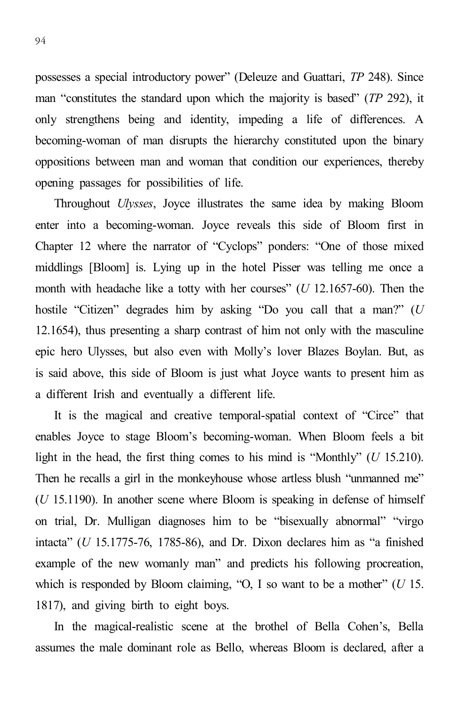possesses a special introductory power" (Deleuze and Guattari, *TP* 248). Since man "constitutes the standard upon which the majority is based" (*TP* 292), it only strengthens being and identity, impeding a life of differences. A becoming-woman of man disrupts the hierarchy constituted upon the binary oppositions between man and woman that condition our experiences, thereby opening passages for possibilities of life.

Throughout *Ulysses*, Joyce illustrates the same idea by making Bloom enter into a becoming-woman. Joyce reveals this side of Bloom first in Chapter 12 where the narrator of "Cyclops" ponders: "One of those mixed middlings [Bloom] is. Lying up in the hotel Pisser was telling me once a month with headache like a totty with her courses" (*U* 12.1657-60). Then the hostile "Citizen" degrades him by asking "Do you call that a man?" (*U* 12.1654), thus presenting a sharp contrast of him not only with the masculine epic hero Ulysses, but also even with Molly's lover Blazes Boylan. But, as is said above, this side of Bloom is just what Joyce wants to present him as a different Irish and eventually a different life.

It is the magical and creative temporal-spatial context of "Circe" that enables Joyce to stage Bloom's becoming-woman. When Bloom feels a bit light in the head, the first thing comes to his mind is "Monthly" (*U* 15.210). Then he recalls a girl in the monkeyhouse whose artless blush "unmanned me" (*U* 15.1190). In another scene where Bloom is speaking in defense of himself on trial, Dr. Mulligan diagnoses him to be "bisexually abnormal" "virgo intacta" (*U* 15.1775-76, 1785-86), and Dr. Dixon declares him as "a finished example of the new womanly man" and predicts his following procreation, which is responded by Bloom claiming, "O, I so want to be a mother" (*U* 15. 1817), and giving birth to eight boys.

In the magical-realistic scene at the brothel of Bella Cohen's, Bella assumes the male dominant role as Bello, whereas Bloom is declared, after a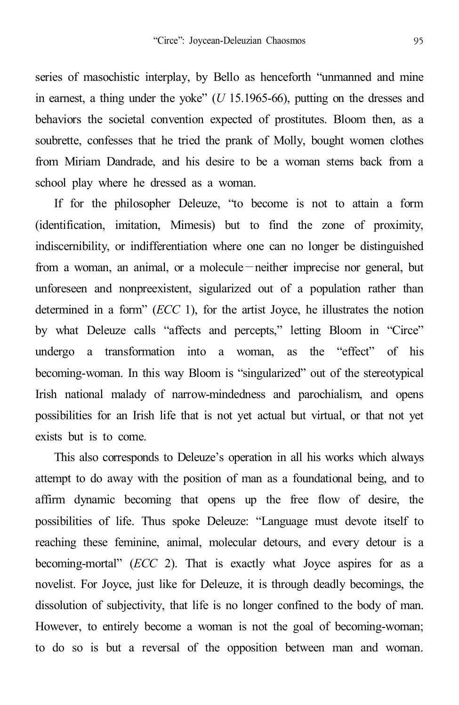series of masochistic interplay, by Bello as henceforth "unmanned and mine in earnest, a thing under the yoke" (*U* 15.1965-66), putting on the dresses and behaviors the societal convention expected of prostitutes. Bloom then, as a soubrette, confesses that he tried the prank of Molly, bought women clothes from Miriam Dandrade, and his desire to be a woman stems back from a school play where he dressed as a woman.

If for the philosopher Deleuze, "to become is not to attain a form (identification, imitation, Mimesis) but to find the zone of proximity, indiscernibility, or indifferentiation where one can no longer be distinguished from a woman, an animal, or a molecule—neither imprecise nor general, but unforeseen and nonpreexistent, sigularized out of a population rather than determined in a form" (*ECC* 1), for the artist Joyce, he illustrates the notion by what Deleuze calls "affects and percepts," letting Bloom in "Circe" undergo a transformation into a woman, as the "effect" of his becoming-woman. In this way Bloom is "singularized" out of the stereotypical Irish national malady of narrow-mindedness and parochialism, and opens possibilities for an Irish life that is not yet actual but virtual, or that not yet exists but is to come.

This also corresponds to Deleuze's operation in all his works which always attempt to do away with the position of man as a foundational being, and to affirm dynamic becoming that opens up the free flow of desire, the possibilities of life. Thus spoke Deleuze: "Language must devote itself to reaching these feminine, animal, molecular detours, and every detour is a becoming-mortal" (*ECC* 2). That is exactly what Joyce aspires for as a novelist. For Joyce, just like for Deleuze, it is through deadly becomings, the dissolution of subjectivity, that life is no longer confined to the body of man. However, to entirely become a woman is not the goal of becoming-woman; to do so is but a reversal of the opposition between man and woman.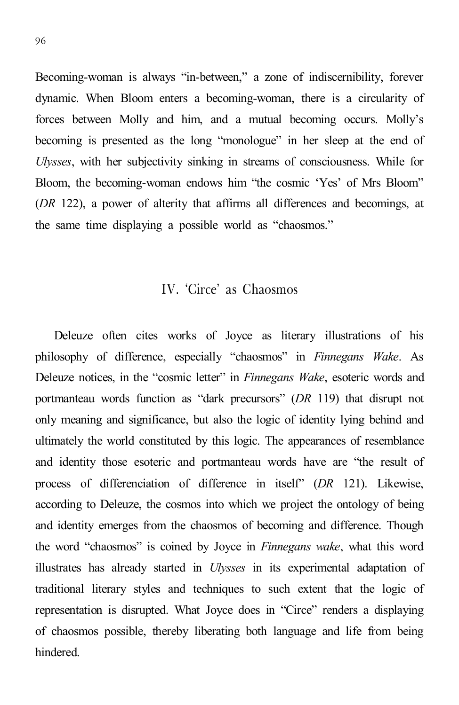Becoming-woman is always "in-between," a zone of indiscernibility, forever dynamic. When Bloom enters a becoming-woman, there is a circularity of forces between Molly and him, and a mutual becoming occurs. Molly's becoming is presented as the long "monologue" in her sleep at the end of *Ulysses*, with her subjectivity sinking in streams of consciousness. While for Bloom, the becoming-woman endows him "the cosmic 'Yes' of Mrs Bloom" (*DR* 122), a power of alterity that affirms all differences and becomings, at the same time displaying a possible world as "chaosmos."

## IV. 'Circe' as Chaosmos

Deleuze often cites works of Joyce as literary illustrations of his philosophy of difference, especially "chaosmos" in *Finnegans Wake*. As Deleuze notices, in the "cosmic letter" in *Finnegans Wake*, esoteric words and portmanteau words function as "dark precursors" (*DR* 119) that disrupt not only meaning and significance, but also the logic of identity lying behind and ultimately the world constituted by this logic. The appearances of resemblance and identity those esoteric and portmanteau words have are "the result of process of differenciation of difference in itself" (*DR* 121). Likewise, according to Deleuze, the cosmos into which we project the ontology of being and identity emerges from the chaosmos of becoming and difference. Though the word "chaosmos" is coined by Joyce in *Finnegans wake*, what this word illustrates has already started in *Ulysses* in its experimental adaptation of traditional literary styles and techniques to such extent that the logic of representation is disrupted. What Joyce does in "Circe" renders a displaying of chaosmos possible, thereby liberating both language and life from being hindered.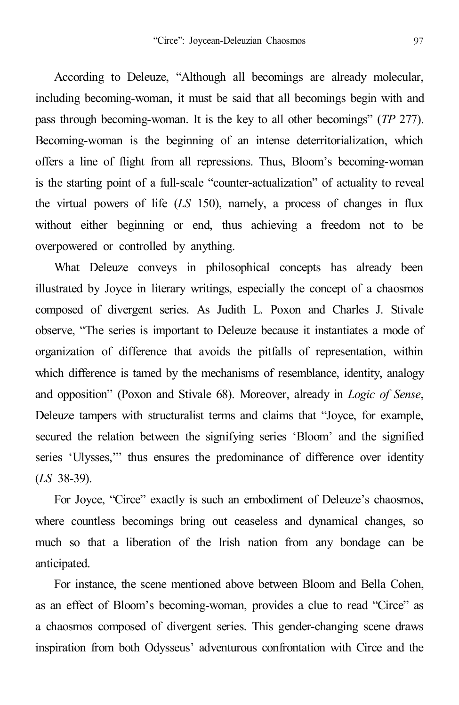According to Deleuze, "Although all becomings are already molecular, including becoming-woman, it must be said that all becomings begin with and pass through becoming-woman. It is the key to all other becomings" (*TP* 277). Becoming-woman is the beginning of an intense deterritorialization, which offers a line of flight from all repressions. Thus, Bloom's becoming-woman is the starting point of a full-scale "counter-actualization" of actuality to reveal the virtual powers of life (*LS* 150), namely, a process of changes in flux without either beginning or end, thus achieving a freedom not to be overpowered or controlled by anything.

What Deleuze conveys in philosophical concepts has already been illustrated by Joyce in literary writings, especially the concept of a chaosmos composed of divergent series. As Judith L. Poxon and Charles J. Stivale observe, "The series is important to Deleuze because it instantiates a mode of organization of difference that avoids the pitfalls of representation, within which difference is tamed by the mechanisms of resemblance, identity, analogy and opposition" (Poxon and Stivale 68). Moreover, already in *Logic of Sense*, Deleuze tampers with structuralist terms and claims that "Joyce, for example, secured the relation between the signifying series 'Bloom' and the signified series 'Ulysses,'" thus ensures the predominance of difference over identity (*LS* 38-39).

For Joyce, "Circe" exactly is such an embodiment of Deleuze's chaosmos, where countless becomings bring out ceaseless and dynamical changes, so much so that a liberation of the Irish nation from any bondage can be anticipated.

For instance, the scene mentioned above between Bloom and Bella Cohen, as an effect of Bloom's becoming-woman, provides a clue to read "Circe" as a chaosmos composed of divergent series. This gender-changing scene draws inspiration from both Odysseus' adventurous confrontation with Circe and the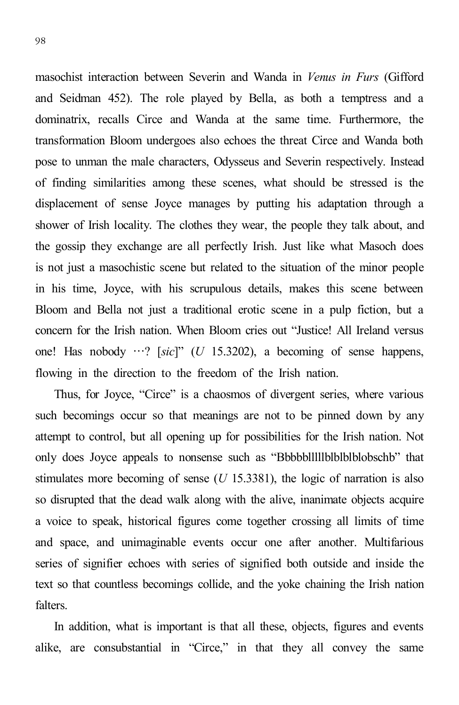98

masochist interaction between Severin and Wanda in *Venus in Furs* (Gifford and Seidman 452). The role played by Bella, as both a temptress and a dominatrix, recalls Circe and Wanda at the same time. Furthermore, the transformation Bloom undergoes also echoes the threat Circe and Wanda both pose to unman the male characters, Odysseus and Severin respectively. Instead of finding similarities among these scenes, what should be stressed is the displacement of sense Joyce manages by putting his adaptation through a shower of Irish locality. The clothes they wear, the people they talk about, and the gossip they exchange are all perfectly Irish. Just like what Masoch does is not just a masochistic scene but related to the situation of the minor people in his time, Joyce, with his scrupulous details, makes this scene between Bloom and Bella not just a traditional erotic scene in a pulp fiction, but a concern for the Irish nation. When Bloom cries out "Justice! All Ireland versus one! Has nobody …? [*sic*]" (*U* 15.3202), a becoming of sense happens, flowing in the direction to the freedom of the Irish nation.

Thus, for Joyce, "Circe" is a chaosmos of divergent series, where various such becomings occur so that meanings are not to be pinned down by any attempt to control, but all opening up for possibilities for the Irish nation. Not only does Joyce appeals to nonsense such as "Bbbbblllllblblblblobschb" that stimulates more becoming of sense (*U* 15.3381), the logic of narration is also so disrupted that the dead walk along with the alive, inanimate objects acquire a voice to speak, historical figures come together crossing all limits of time and space, and unimaginable events occur one after another. Multifarious series of signifier echoes with series of signified both outside and inside the text so that countless becomings collide, and the yoke chaining the Irish nation falters.

In addition, what is important is that all these, objects, figures and events alike, are consubstantial in "Circe," in that they all convey the same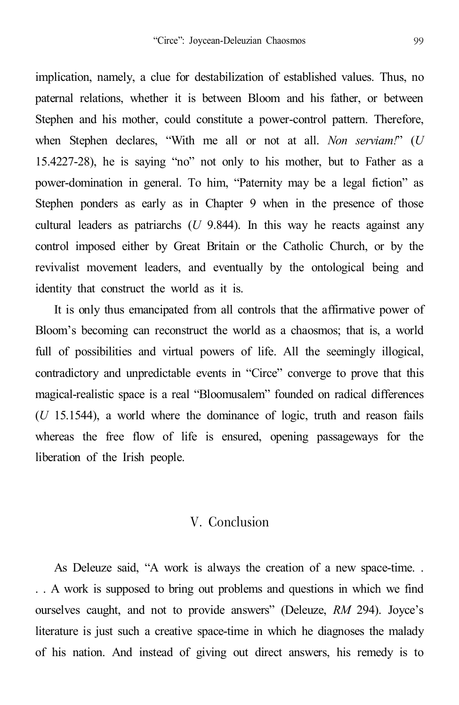implication, namely, a clue for destabilization of established values. Thus, no paternal relations, whether it is between Bloom and his father, or between Stephen and his mother, could constitute a power-control pattern. Therefore, when Stephen declares, "With me all or not at all. *Non serviam!*" (*U* 15.4227-28), he is saying "no" not only to his mother, but to Father as a power-domination in general. To him, "Paternity may be a legal fiction" as Stephen ponders as early as in Chapter 9 when in the presence of those cultural leaders as patriarchs (*U* 9.844). In this way he reacts against any control imposed either by Great Britain or the Catholic Church, or by the revivalist movement leaders, and eventually by the ontological being and identity that construct the world as it is.

It is only thus emancipated from all controls that the affirmative power of Bloom's becoming can reconstruct the world as a chaosmos; that is, a world full of possibilities and virtual powers of life. All the seemingly illogical, contradictory and unpredictable events in "Circe" converge to prove that this magical-realistic space is a real "Bloomusalem" founded on radical differences (*U* 15.1544), a world where the dominance of logic, truth and reason fails whereas the free flow of life is ensured, opening passageways for the liberation of the Irish people.

#### V. Conclusion

As Deleuze said, "A work is always the creation of a new space-time. . . . A work is supposed to bring out problems and questions in which we find ourselves caught, and not to provide answers" (Deleuze, *RM* 294). Joyce's literature is just such a creative space-time in which he diagnoses the malady of his nation. And instead of giving out direct answers, his remedy is to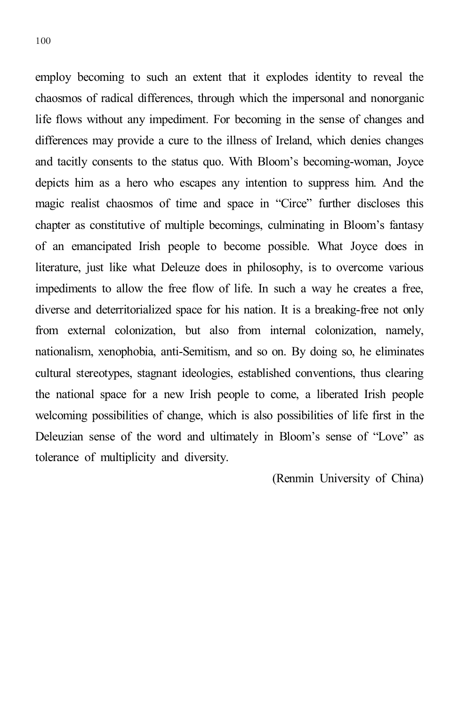employ becoming to such an extent that it explodes identity to reveal the chaosmos of radical differences, through which the impersonal and nonorganic life flows without any impediment. For becoming in the sense of changes and differences may provide a cure to the illness of Ireland, which denies changes and tacitly consents to the status quo. With Bloom's becoming-woman, Joyce depicts him as a hero who escapes any intention to suppress him. And the magic realist chaosmos of time and space in "Circe" further discloses this chapter as constitutive of multiple becomings, culminating in Bloom's fantasy of an emancipated Irish people to become possible. What Joyce does in literature, just like what Deleuze does in philosophy, is to overcome various impediments to allow the free flow of life. In such a way he creates a free, diverse and deterritorialized space for his nation. It is a breaking-free not only from external colonization, but also from internal colonization, namely, nationalism, xenophobia, anti-Semitism, and so on. By doing so, he eliminates cultural stereotypes, stagnant ideologies, established conventions, thus clearing the national space for a new Irish people to come, a liberated Irish people welcoming possibilities of change, which is also possibilities of life first in the Deleuzian sense of the word and ultimately in Bloom's sense of "Love" as tolerance of multiplicity and diversity.

(Renmin University of China)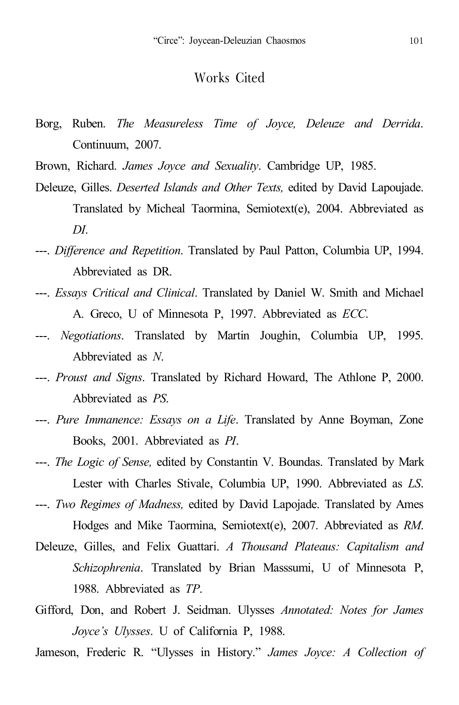#### Works Cited

Borg, Ruben. *The Measureless Time of Joyce, Deleuze and Derrida*. Continuum, 2007.

Brown, Richard. *James Joyce and Sexuality*. Cambridge UP, 1985.

- Deleuze, Gilles. *Deserted Islands and Other Texts,* edited by David Lapoujade. Translated by Micheal Taormina, Semiotext(e), 2004. Abbreviated as *DI*.
- ---. *Difference and Repetition*. Translated by Paul Patton, Columbia UP, 1994. Abbreviated as DR.
- ---. *Essays Critical and Clinical*. Translated by Daniel W. Smith and Michael A. Greco, U of Minnesota P, 1997. Abbreviated as *ECC*.
- ---. *Negotiations*. Translated by Martin Joughin, Columbia UP, 1995. Abbreviated as *N*.
- ---. *Proust and Signs*. Translated by Richard Howard, The Athlone P, 2000. Abbreviated as *PS*.
- ---. *Pure Immanence: Essays on a Life*. Translated by Anne Boyman, Zone Books, 2001. Abbreviated as *PI*.

---. *The Logic of Sense,* edited by Constantin V. Boundas. Translated by Mark Lester with Charles Stivale, Columbia UP, 1990. Abbreviated as *LS*. ---. *Two Regimes of Madness,* edited by David Lapojade. Translated by Ames

Hodges and Mike Taormina, Semiotext(e), 2007. Abbreviated as *RM*.

- Deleuze, Gilles, and Felix Guattari. *A Thousand Plateaus: Capitalism and Schizophrenia*. Translated by Brian Masssumi, U of Minnesota P, 1988. Abbreviated as *TP*.
- Gifford, Don, and Robert J. Seidman. Ulysses *Annotated: Notes for James Joyce's Ulysses*. U of California P, 1988.
- Jameson, Frederic R. "Ulysses in History." *James Joyce: A Collection of*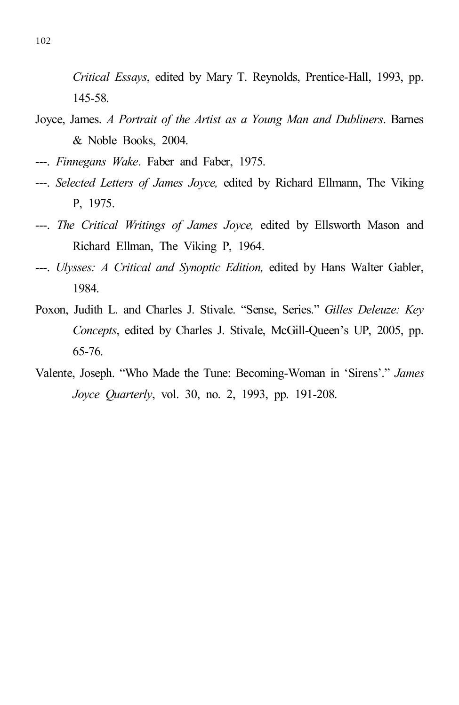*Critical Essays*, edited by Mary T. Reynolds, Prentice-Hall, 1993, pp. 145-58.

- Joyce, James. *A Portrait of the Artist as a Young Man and Dubliners*. Barnes & Noble Books, 2004.
- ---. *Finnegans Wake*. Faber and Faber, 1975.
- ---. *Selected Letters of James Joyce,* edited by Richard Ellmann, The Viking P, 1975.
- ---. *The Critical Writings of James Joyce,* edited by Ellsworth Mason and Richard Ellman, The Viking P, 1964.
- ---. *Ulysses: A Critical and Synoptic Edition,* edited by Hans Walter Gabler, 1984.
- Poxon, Judith L. and Charles J. Stivale. "Sense, Series." *Gilles Deleuze: Key Concepts*, edited by Charles J. Stivale, McGill-Queen's UP, 2005, pp. 65-76.
- Valente, Joseph. "Who Made the Tune: Becoming-Woman in 'Sirens'." *James Joyce Quarterly*, vol. 30, no. 2, 1993, pp. 191-208.